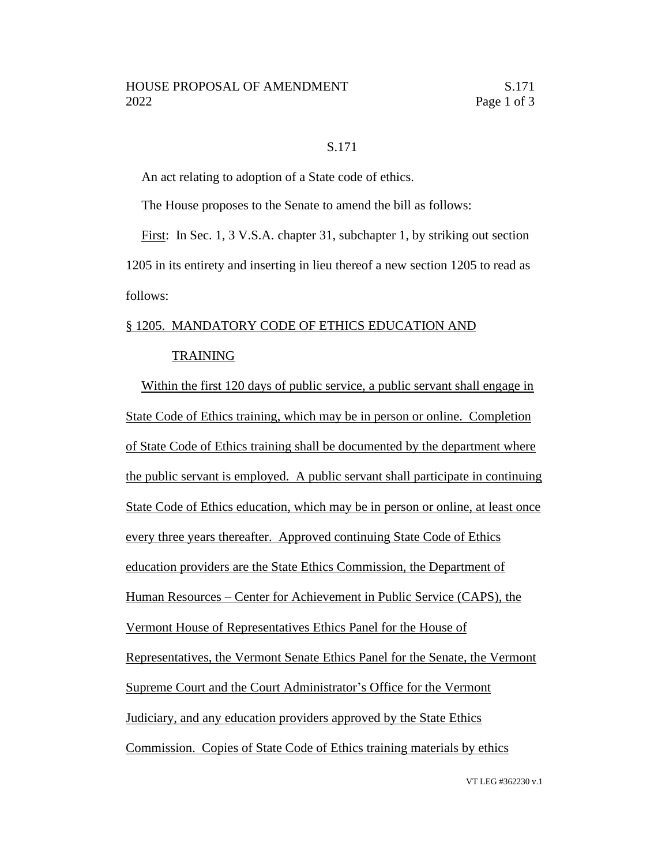## S.171

An act relating to adoption of a State code of ethics.

The House proposes to the Senate to amend the bill as follows:

First: In Sec. 1, 3 V.S.A. chapter 31, subchapter 1, by striking out section 1205 in its entirety and inserting in lieu thereof a new section 1205 to read as follows:

## § 1205. MANDATORY CODE OF ETHICS EDUCATION AND

## TRAINING

Within the first 120 days of public service, a public servant shall engage in State Code of Ethics training, which may be in person or online. Completion of State Code of Ethics training shall be documented by the department where the public servant is employed. A public servant shall participate in continuing State Code of Ethics education, which may be in person or online, at least once every three years thereafter. Approved continuing State Code of Ethics education providers are the State Ethics Commission, the Department of Human Resources – Center for Achievement in Public Service (CAPS), the Vermont House of Representatives Ethics Panel for the House of Representatives, the Vermont Senate Ethics Panel for the Senate, the Vermont Supreme Court and the Court Administrator's Office for the Vermont Judiciary, and any education providers approved by the State Ethics Commission. Copies of State Code of Ethics training materials by ethics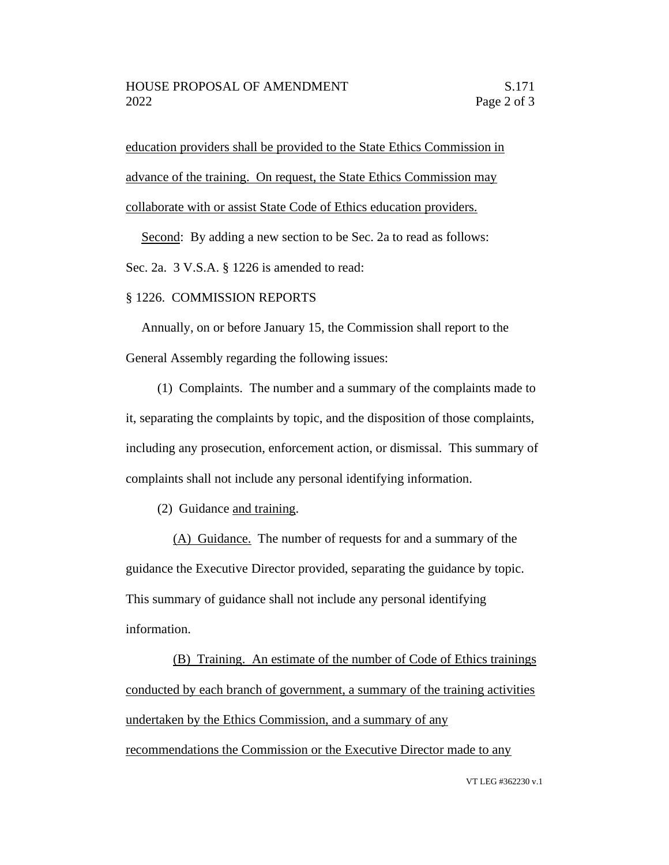education providers shall be provided to the State Ethics Commission in advance of the training. On request, the State Ethics Commission may collaborate with or assist State Code of Ethics education providers.

Second: By adding a new section to be Sec. 2a to read as follows:

Sec. 2a. 3 V.S.A. § 1226 is amended to read:

## § 1226. COMMISSION REPORTS

Annually, on or before January 15, the Commission shall report to the General Assembly regarding the following issues:

(1) Complaints. The number and a summary of the complaints made to it, separating the complaints by topic, and the disposition of those complaints, including any prosecution, enforcement action, or dismissal. This summary of complaints shall not include any personal identifying information.

(2) Guidance and training.

(A) Guidance. The number of requests for and a summary of the guidance the Executive Director provided, separating the guidance by topic. This summary of guidance shall not include any personal identifying information.

(B) Training. An estimate of the number of Code of Ethics trainings conducted by each branch of government, a summary of the training activities undertaken by the Ethics Commission, and a summary of any recommendations the Commission or the Executive Director made to any